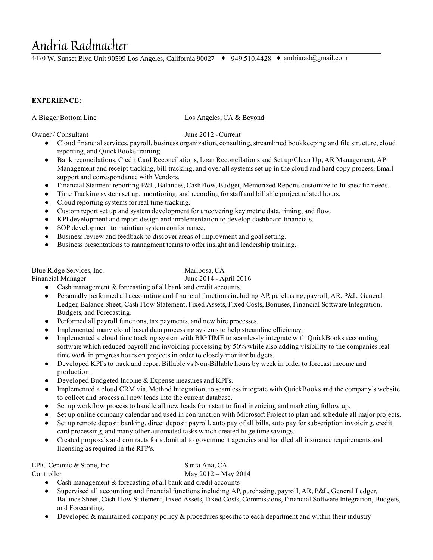# Andria Radmacher

4470 W. Sunset Blvd Unit 90599 Los Angeles, California 90027 ♦ 949.510.4428 ♦ andriarad@gmail.com

### EXPERIENCE:

A Bigger Bottom Line Los Angeles, CA & Beyond

Owner / Consultant June 2012 Current

- Cloud financial services, payroll, business organization, consulting, streamlined bookkeeping and file structure, cloud reporting, and QuickBooks training.
- Bank reconcilations, Credit Card Reconcilations, Loan Reconcilations and Set up/Clean Up, AR Management, AP Management and receipt tracking, bill tracking, and over all systems set up in the cloud and hard copy process, Email support and correspondance with Vendors.
- Financial Statment reporting P&L, Balances, CashFlow, Budget, Memorized Reports customize to fit specific needs.
- Time Tracking system set up, montioring, and recording for staff and billable project related hours.
- Cloud reporting systems for real time tracking.
- Custom report set up and system development for uncovering key metric data, timing, and flow.
- KPI development and report design and implementation to develop dashboard financials.
- SOP development to maintian system conformance.
- Business review and feedback to discover areas of improvment and goal setting.
- Business presentations to managment teams to offer insight and leadership training.

Blue Ridge Services, Inc. Mariposa, CA

Financial Manager June 2014 - April 2016

- Cash management  $&$  forecasting of all bank and credit accounts.
- Personally performed all accounting and financial functions including AP, purchasing, payroll, AR, P&L, General Ledger, Balance Sheet, Cash Flow Statement, Fixed Assets, Fixed Costs, Bonuses, Financial Software Integration, Budgets, and Forecasting.
- Performed all payroll functions, tax payments, and new hire processes.
- Implemented many cloud based data processing systems to help streamline efficiency.
- Implemented a cloud time tracking system with BIGTIME to seamlessly integrate with QuickBooks accounting software which reduced payroll and invoicing processing by 50% while also adding visibility to the companies real time work in progress hours on projects in order to closely monitor budgets.
- Developed KPI's to track and report Billable vs Non-Billable hours by week in order to forecast income and production.
- Developed Budgeted Income & Expense measures and KPI's.
- Implemented a cloud CRM via, Method Integration, to seamless integrate with QuickBooks and the company's website to collect and process all new leads into the current database.
- Set up workflow process to handle all new leads from start to final invoicing and marketing follow up.
- Set up online company calendar and used in conjunction with Microsoft Project to plan and schedule all major projects.
- Set up remote deposit banking, direct deposit payroll, auto pay of all bills, auto pay forsubscription invoicing, credit card processing, and many other automated tasks which created huge time savings.
- Created proposals and contracts forsubmittal to government agencies and handled all insurance requirements and licensing as required in the RFP's.

EPIC Ceramic & Stone, Inc. Santa Ana, CA

Controller May 2012 – May 2014

- Cash management & forecasting of all bank and credit accounts
- Supervised all accounting and financial functions including AP, purchasing, payroll, AR, P&L, General Ledger, Balance Sheet, Cash Flow Statement, Fixed Assets, Fixed Costs, Commissions, Financial Software Integration, Budgets, and Forecasting.
- Developed & maintained company policy & procedures specific to each department and within their industry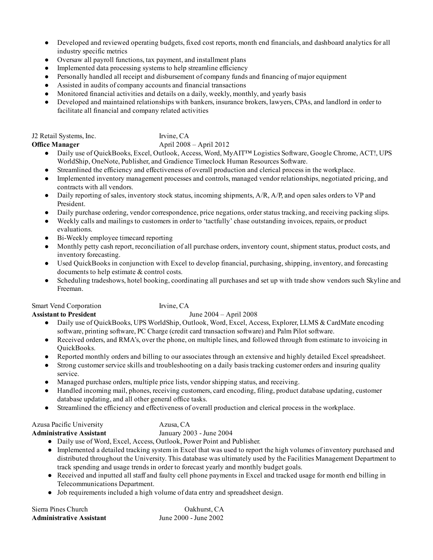- Developed and reviewed operating budgets, fixed cost reports, month end financials, and dashboard analytics for all industry specific metrics
- Oversaw all payroll functions, tax payment, and installment plans
- Implemented data processing systems to help streamline efficiency
- Personally handled all receipt and disbursement of company funds and financing of major equipment
- Assisted in audits of company accounts and financial transactions
- Monitored financial activities and details on a daily, weekly, monthly, and yearly basis
- Developed and maintained relationships with bankers, insurance brokers, lawyers, CPAs, and landlord in order to facilitate all financial and company related activities

| J2 Retail Systems, Inc. | Irvine, CA                  |
|-------------------------|-----------------------------|
| Office Manager          | April $2008 -$ April $2012$ |

- Daily use of QuickBooks, Excel, Outlook, Access, Word, MyAIT™ Logistics Software, Google Chrome, ACT!, UPS WorldShip, OneNote, Publisher, and Gradience Timeclock Human Resources Software.
- Streamlined the efficiency and effectiveness of overall production and clerical process in the workplace.
- Implemented inventory management processes and controls, managed vendor relationships, negotiated pricing, and contracts with all vendors.
- $\bullet$  Daily reporting of sales, inventory stock status, incoming shipments,  $A/R$ ,  $A/P$ , and open sales orders to VP and President.
- Daily purchase ordering, vendor correspondence, price negations, order status tracking, and receiving packing slips.
- Weekly calls and mailings to customers in order to 'tactfully' chase outstanding invoices, repairs, or product evaluations.
- Bi-Weekly employee timecard reporting
- Monthly petty cash report, reconciliation of all purchase orders, inventory count, shipment status, product costs, and inventory forecasting.
- Used QuickBooks in conjunction with Excel to develop financial, purchasing, shipping, inventory, and forecasting documents to help estimate & control costs.
- Scheduling tradeshows, hotel booking, coordinating all purchases and set up with trade show vendors such Skyline and Freeman.

Smart Vend Corporation Irvine, CA

#### Assistant to President June 2004 – April 2008

- Daily use of QuickBooks, UPS WorldShip, Outlook, Word, Excel, Access, Explorer, LLMS & CardMate encoding software, printing software, PC Charge (credit card transaction software) and Palm Pilot software.
- Received orders, and RMA's, over the phone, on multiple lines, and followed through from estimate to invoicing in QuickBooks.
- Reported monthly orders and billing to our associates through an extensive and highly detailed Excel spreadsheet.
- Strong customer service skills and troubleshooting on a daily basis tracking customer orders and insuring quality service.
- Managed purchase orders, multiple price lists, vendorshipping status, and receiving.
- Handled incoming mail, phones, receiving customers, card encoding, filing, product database updating, customer database updating, and all other general office tasks.
- Streamlined the efficiency and effectiveness of overall production and clerical process in the workplace.

| Azusa Pacific University |   |  |   |  |  |  | Azusa, CA |               |
|--------------------------|---|--|---|--|--|--|-----------|---------------|
|                          | . |  | . |  |  |  |           | $\sim$ $\sim$ |

- Administrative Assistant January 2003 June 2004
	- Daily use of Word, Excel, Access, Outlook, Power Point and Publisher.
	- Implemented a detailed tracking system in Excel that was used to report the high volumes of inventory purchased and distributed throughout the University. This database was ultimately used by the Facilities Management Department to track spending and usage trends in order to forecast yearly and monthly budget goals.
	- Received and inputted all staff and faulty cell phone payments in Excel and tracked usage for month end billing in Telecommunications Department.

● Job requirements included a high volume of data entry and spreadsheet design.

| Sierra Pines Church             | Oakhurst, CA          |
|---------------------------------|-----------------------|
| <b>Administrative Assistant</b> | June 2000 - June 2002 |